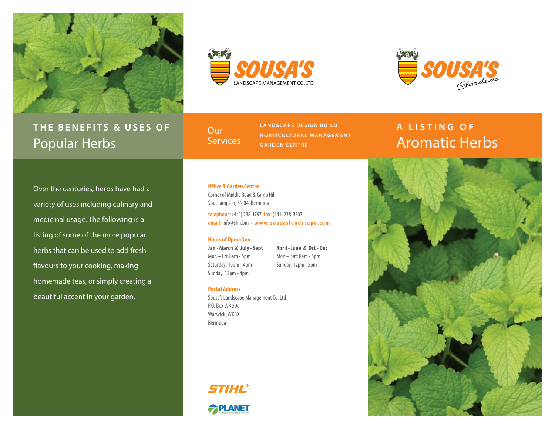

## **THE BENEFITS & USES OF** Popular Herbs





**Our Services**  **LANDSCAPE DESIGN BUILD HORTICULTUR AL MANAGEMENT GARDEN CENTRE**

# **A LISTING OF** Aromatic Herbs

Over the centuries, herbs have had a variety of uses including culinary and medicinal usage. The following is a listing of some of the more popular herbs that can be used to add fresh flavours to your cooking, making homemade teas, or simply creating a beautiful accent in your garden.

## **Office & Garden Centre**

Corner of Middle Road & Camp Hill, Southampton, SN 04, Bermuda

**telephone:** (441) 238-1797 **fax:** (441) 238-3507 **email:** info@slm.bm • **w w w. s o u s a s l a n d s c a p e . c o m** 

## **Hours of Operation**

**Jan - March & July - Sept** Mon – Fri: 8am - 5pm Saturday: 10pm - 4pm Sunday: 12pm - 4pm

**April - June & Oct - Dec** Mon – Sat: 8am - 5pm Sunday: 12pm - 5pm

#### **Postal Address**

Sousa's Landscape Management Co. Ltd P.O. Box WK 506 Warwick, WKBX Bermuda